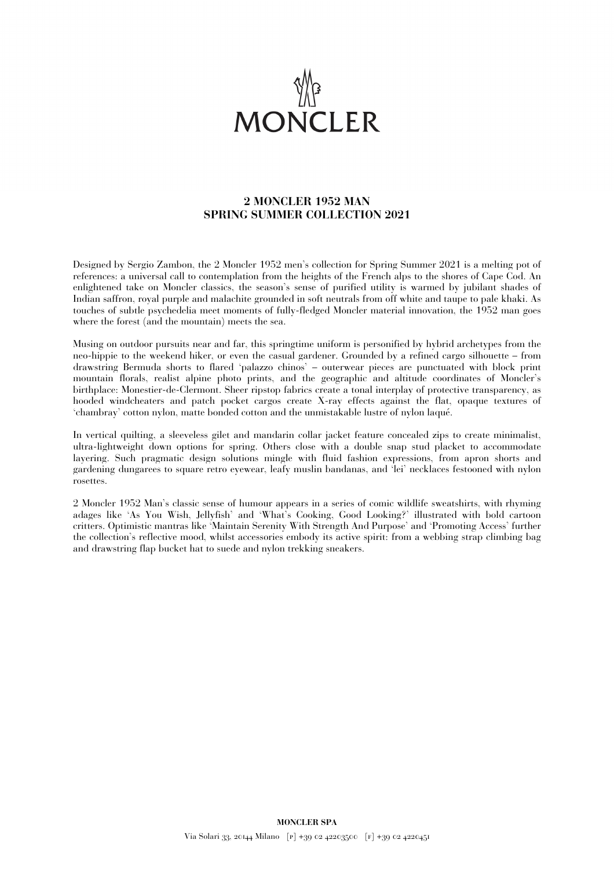

## **2 MONCLER 1952 MAN SPRING SUMMER COLLECTION 2021**

Designed by Sergio Zambon, the 2 Moncler 1952 men's collection for Spring Summer 2021 is a melting pot of references: a universal call to contemplation from the heights of the French alps to the shores of Cape Cod. An enlightened take on Moncler classics, the season's sense of purified utility is warmed by jubilant shades of Indian saffron, royal purple and malachite grounded in soft neutrals from off white and taupe to pale khaki. As touches of subtle psychedelia meet moments of fully-fledged Moncler material innovation, the 1952 man goes where the forest (and the mountain) meets the sea.

Musing on outdoor pursuits near and far, this springtime uniform is personified by hybrid archetypes from the neo-hippie to the weekend hiker, or even the casual gardener. Grounded by a refined cargo silhouette – from drawstring Bermuda shorts to flared 'palazzo chinos' – outerwear pieces are punctuated with block print mountain florals, realist alpine photo prints, and the geographic and altitude coordinates of Moncler's birthplace: Monestier-de-Clermont. Sheer ripstop fabrics create a tonal interplay of protective transparency, as hooded windcheaters and patch pocket cargos create X-ray effects against the flat, opaque textures of 'chambray' cotton nylon, matte bonded cotton and the unmistakable lustre of nylon laqué.

In vertical quilting, a sleeveless gilet and mandarin collar jacket feature concealed zips to create minimalist, ultra-lightweight down options for spring. Others close with a double snap stud placket to accommodate layering. Such pragmatic design solutions mingle with fluid fashion expressions, from apron shorts and gardening dungarees to square retro eyewear, leafy muslin bandanas, and 'lei' necklaces festooned with nylon rosettes.

2 Moncler 1952 Man's classic sense of humour appears in a series of comic wildlife sweatshirts, with rhyming adages like 'As You Wish, Jellyfish' and 'What's Cooking, Good Looking?' illustrated with bold cartoon critters. Optimistic mantras like 'Maintain Serenity With Strength And Purpose' and 'Promoting Access' further the collection's reflective mood, whilst accessories embody its active spirit: from a webbing strap climbing bag and drawstring flap bucket hat to suede and nylon trekking sneakers.